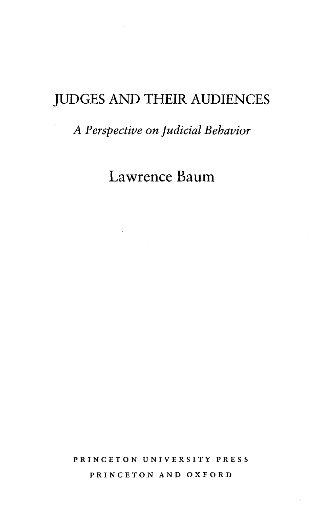## JUDGES AND THEIR AUDIENCES

## *A Perspective on Judicial Behavior*

## Lawrence Baum

PRINCETON UNIVERSITY PRESS PRINCETON AND OXFORD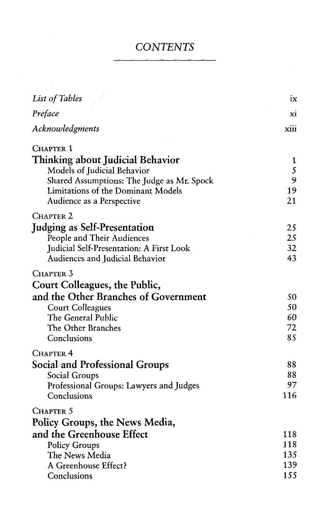## *CONTENTS*

| List of Tables                                                  | ix       |
|-----------------------------------------------------------------|----------|
| Preface                                                         | xi       |
| Acknowledgments                                                 | xiii     |
| Chapter 1                                                       |          |
| Thinking about Judicial Behavior<br>Models of Judicial Behavior | 1<br>5   |
| Shared Assumptions: The Judge as Mr. Spock                      | 9        |
| Limitations of the Dominant Models<br>Audience as a Perspective | 19<br>21 |
| CHAPTER <sub>2</sub>                                            |          |
| <b>Judging as Self-Presentation</b>                             | 25       |
| People and Their Audiences                                      | 25       |
| Judicial Self-Presentation: A First Look                        | 32       |
| Audiences and Judicial Behavior                                 | 43       |
| CHAPTER 3                                                       |          |
| Court Colleagues, the Public,                                   |          |
| and the Other Branches of Government                            | 50       |
| <b>Court Colleagues</b>                                         | 50       |
| The General Public                                              | 60       |
| The Other Branches                                              | 72       |
| Conclusions                                                     | 85       |
| Chapter 4                                                       |          |
| Social and Professional Groups                                  | 88       |
| Social Groups                                                   | 88       |
| Professional Groups: Lawyers and Judges                         | 97       |
| Conclusions                                                     | 116      |
| CHAPTER 5                                                       |          |
| Policy Groups, the News Media,                                  |          |
| and the Greenhouse Effect                                       | 118      |
| <b>Policy Groups</b>                                            | 118      |
| The News Media                                                  | 135      |
| A Greenhouse Effect?                                            | 139      |
| Conclusions                                                     | 155      |